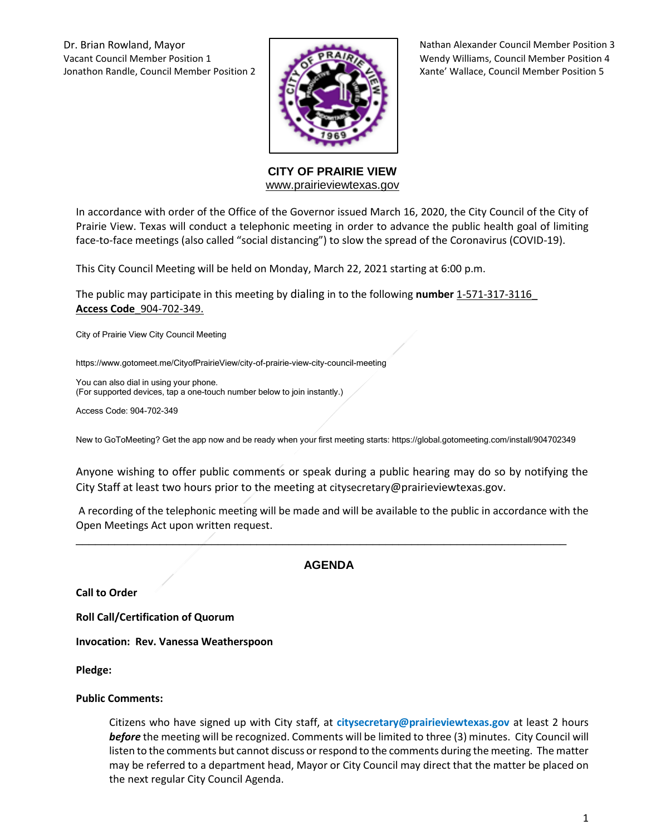Vacant Council Member Position 1 **Wendy Williams, Council Member Position 4** Wendy Williams, Council Member Position 4 Jonathon Randle, Council Member Position 2 Xante' Wallace, Council Member Position 5



Dr. Brian Rowland, Mayor Nathan Alexander Council Member Position 3

**CITY OF PRAIRIE VIEW**  [www.prairieviewtexas.gov](http://www.prairieviewtexas.gov/)

In accordance with order of the Office of the Governor issued March 16, 2020, the City Council of the City of Prairie View. Texas will conduct a telephonic meeting in order to advance the public health goal of limiting face-to-face meetings (also called "social distancing") to slow the spread of the Coronavirus (COVID-19).

This City Council Meeting will be held on Monday, March 22, 2021 starting at 6:00 p.m.

The public may participate in this meeting by dialing in to the following **number** 1-571-317-3116\_ **Access Code**\_904-702-349.

City of Prairie View City Council Meeting

https://www.gotomeet.me/CityofPrairieView/city-of-prairie-view-city-council-meeting

You can also dial in using your phone. (For supported devices, tap a one-touch number below to join instantly.)

Access Code: 904-702-349

New to GoToMeeting? Get the app now and be ready when your first meeting starts: https://global.gotomeeting.com/install/904702349

Anyone wishing to offer public comments or speak during a public hearing may do so by notifying the City Staff at least two hours prior to the meeting at citysecretary@prairieviewtexas.gov.

A recording of the telephonic meeting will be made and will be available to the public in accordance with the Open Meetings Act upon written request.

### **AGENDA**

\_\_\_\_\_\_\_\_\_\_\_\_\_\_\_\_\_\_\_\_\_\_\_\_\_\_\_\_\_\_\_\_\_\_\_\_\_\_\_\_\_\_\_\_\_\_\_\_\_\_\_\_\_\_\_\_\_\_\_\_\_\_\_\_\_\_\_\_\_\_\_\_\_\_\_\_

**Call to Order**

**Roll Call/Certification of Quorum**

**Invocation: Rev. Vanessa Weatherspoon** 

**Pledge:** 

#### **Public Comments:**

Citizens who have signed up with City staff, at **citysecretary@prairieviewtexas.gov** at least 2 hours *before* the meeting will be recognized. Comments will be limited to three (3) minutes. City Council will listen to the comments but cannot discuss or respond to the comments during the meeting. The matter may be referred to a department head, Mayor or City Council may direct that the matter be placed on the next regular City Council Agenda.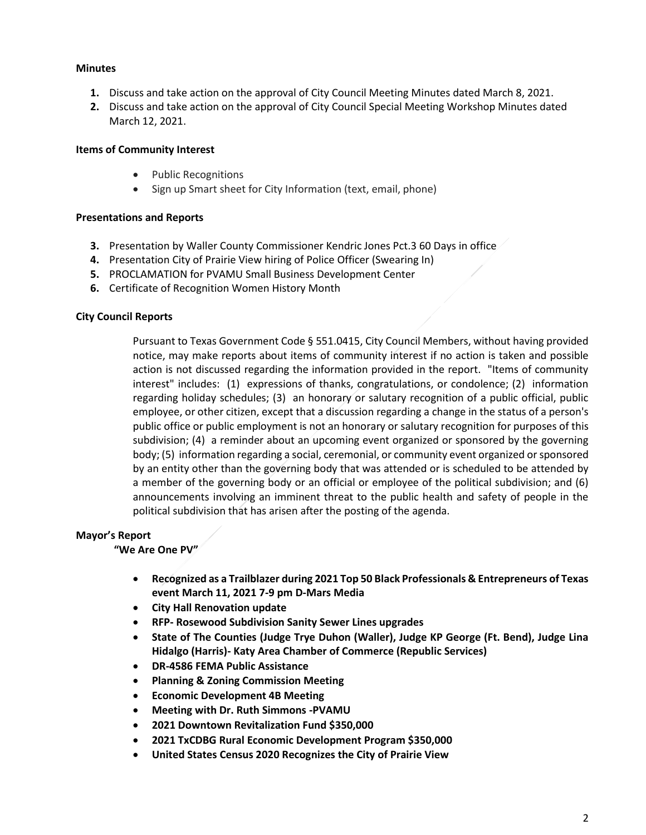### **Minutes**

- **1.** Discuss and take action on the approval of City Council Meeting Minutes dated March 8, 2021.
- **2.** Discuss and take action on the approval of City Council Special Meeting Workshop Minutes dated March 12, 2021.

## **Items of Community Interest**

- Public Recognitions
- Sign up Smart sheet for City Information (text, email, phone)

## **Presentations and Reports**

- **3.** Presentation by Waller County Commissioner Kendric Jones Pct.3 60 Days in office
- **4.** Presentation City of Prairie View hiring of Police Officer (Swearing In)
- **5.** PROCLAMATION for PVAMU Small Business Development Center
- **6.** Certificate of Recognition Women History Month

## **City Council Reports**

Pursuant to Texas Government Code § 551.0415, City Council Members, without having provided notice, may make reports about items of community interest if no action is taken and possible action is not discussed regarding the information provided in the report. "Items of community interest" includes: (1) expressions of thanks, congratulations, or condolence; (2) information regarding holiday schedules; (3) an honorary or salutary recognition of a public official, public employee, or other citizen, except that a discussion regarding a change in the status of a person's public office or public employment is not an honorary or salutary recognition for purposes of this subdivision; (4) a reminder about an upcoming event organized or sponsored by the governing body; (5) information regarding a social, ceremonial, or community event organized or sponsored by an entity other than the governing body that was attended or is scheduled to be attended by a member of the governing body or an official or employee of the political subdivision; and (6) announcements involving an imminent threat to the public health and safety of people in the political subdivision that has arisen after the posting of the agenda.

### **Mayor's Report**

### **"We Are One PV"**

- **Recognized as a Trailblazer during 2021 Top 50 Black Professionals & Entrepreneurs of Texas event March 11, 2021 7-9 pm D-Mars Media**
- **City Hall Renovation update**
- **RFP- Rosewood Subdivision Sanity Sewer Lines upgrades**
- **State of The Counties (Judge Trye Duhon (Waller), Judge KP George (Ft. Bend), Judge Lina Hidalgo (Harris)- Katy Area Chamber of Commerce (Republic Services)**
- **DR-4586 FEMA Public Assistance**
- **Planning & Zoning Commission Meeting**
- **Economic Development 4B Meeting**
- **Meeting with Dr. Ruth Simmons -PVAMU**
- **2021 Downtown Revitalization Fund \$350,000**
- **2021 TxCDBG Rural Economic Development Program \$350,000**
- **United States Census 2020 Recognizes the City of Prairie View**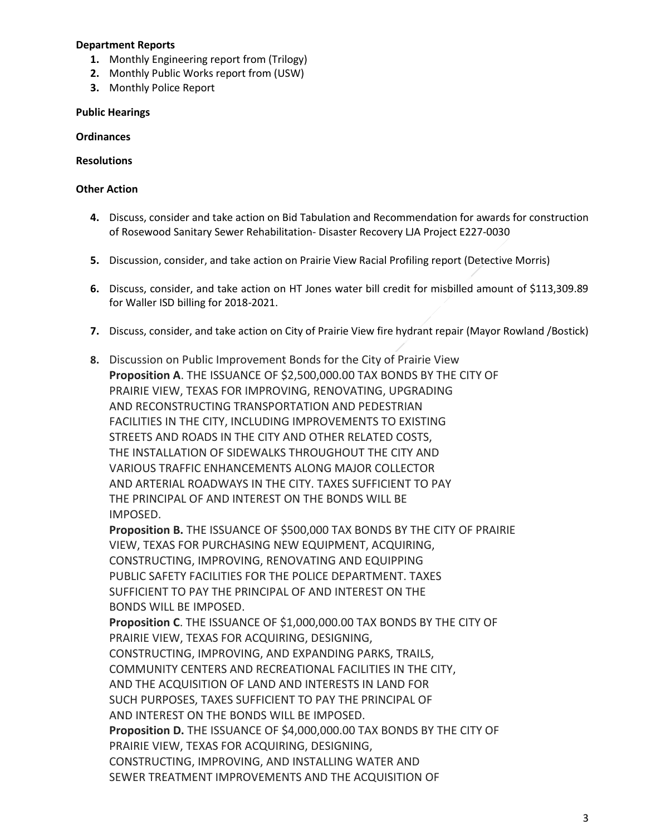### **Department Reports**

- **1.** Monthly Engineering report from (Trilogy)
- **2.** Monthly Public Works report from (USW)
- **3.** Monthly Police Report

#### **Public Hearings**

#### **Ordinances**

#### **Resolutions**

#### **Other Action**

- **4.** Discuss, consider and take action on Bid Tabulation and Recommendation for awards for construction of Rosewood Sanitary Sewer Rehabilitation- Disaster Recovery LJA Project E227-0030
- **5.** Discussion, consider, and take action on Prairie View Racial Profiling report (Detective Morris)
- **6.** Discuss, consider, and take action on HT Jones water bill credit for misbilled amount of \$113,309.89 for Waller ISD billing for 2018-2021.
- **7.** Discuss, consider, and take action on City of Prairie View fire hydrant repair (Mayor Rowland /Bostick)
- **8.** Discussion on Public Improvement Bonds for the City of Prairie View **Proposition A**. THE ISSUANCE OF \$2,500,000.00 TAX BONDS BY THE CITY OF PRAIRIE VIEW, TEXAS FOR IMPROVING, RENOVATING, UPGRADING AND RECONSTRUCTING TRANSPORTATION AND PEDESTRIAN FACILITIES IN THE CITY, INCLUDING IMPROVEMENTS TO EXISTING STREETS AND ROADS IN THE CITY AND OTHER RELATED COSTS, THE INSTALLATION OF SIDEWALKS THROUGHOUT THE CITY AND VARIOUS TRAFFIC ENHANCEMENTS ALONG MAJOR COLLECTOR AND ARTERIAL ROADWAYS IN THE CITY. TAXES SUFFICIENT TO PAY THE PRINCIPAL OF AND INTEREST ON THE BONDS WILL BE IMPOSED.

**Proposition B.** THE ISSUANCE OF \$500,000 TAX BONDS BY THE CITY OF PRAIRIE VIEW, TEXAS FOR PURCHASING NEW EQUIPMENT, ACQUIRING, CONSTRUCTING, IMPROVING, RENOVATING AND EQUIPPING PUBLIC SAFETY FACILITIES FOR THE POLICE DEPARTMENT. TAXES SUFFICIENT TO PAY THE PRINCIPAL OF AND INTEREST ON THE BONDS WILL BE IMPOSED.

**Proposition C**. THE ISSUANCE OF \$1,000,000.00 TAX BONDS BY THE CITY OF PRAIRIE VIEW, TEXAS FOR ACQUIRING, DESIGNING, CONSTRUCTING, IMPROVING, AND EXPANDING PARKS, TRAILS, COMMUNITY CENTERS AND RECREATIONAL FACILITIES IN THE CITY, AND THE ACQUISITION OF LAND AND INTERESTS IN LAND FOR SUCH PURPOSES, TAXES SUFFICIENT TO PAY THE PRINCIPAL OF AND INTEREST ON THE BONDS WILL BE IMPOSED. **Proposition D.** THE ISSUANCE OF \$4,000,000.00 TAX BONDS BY THE CITY OF PRAIRIE VIEW, TEXAS FOR ACQUIRING, DESIGNING, CONSTRUCTING, IMPROVING, AND INSTALLING WATER AND SEWER TREATMENT IMPROVEMENTS AND THE ACQUISITION OF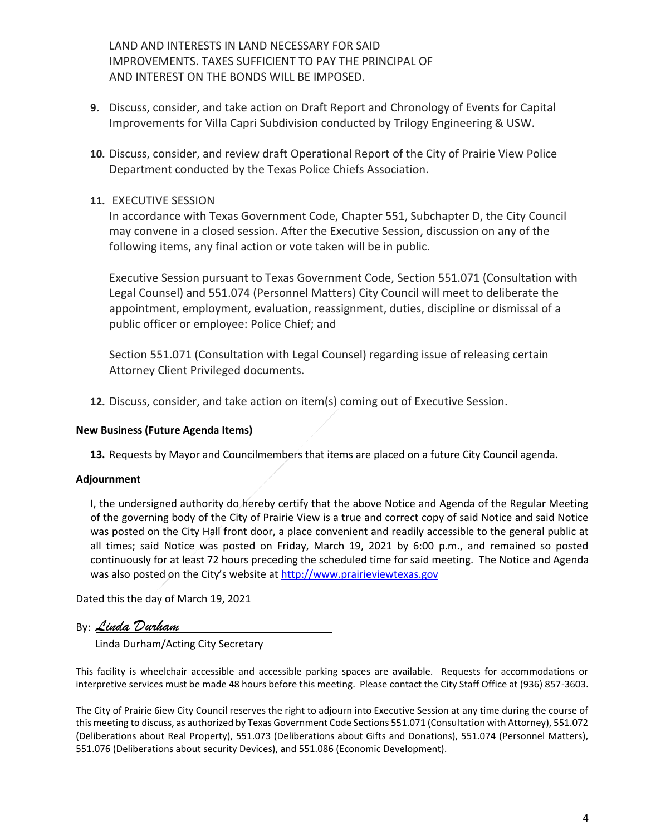LAND AND INTERESTS IN LAND NECESSARY FOR SAID IMPROVEMENTS. TAXES SUFFICIENT TO PAY THE PRINCIPAL OF AND INTEREST ON THE BONDS WILL BE IMPOSED.

- **9.** Discuss, consider, and take action on Draft Report and Chronology of Events for Capital Improvements for Villa Capri Subdivision conducted by Trilogy Engineering & USW.
- **10.** Discuss, consider, and review draft Operational Report of the City of Prairie View Police Department conducted by the Texas Police Chiefs Association.

# **11.** EXECUTIVE SESSION

In accordance with Texas Government Code, Chapter 551, Subchapter D, the City Council may convene in a closed session. After the Executive Session, discussion on any of the following items, any final action or vote taken will be in public.

Executive Session pursuant to Texas Government Code, Section 551.071 (Consultation with Legal Counsel) and 551.074 (Personnel Matters) City Council will meet to deliberate the appointment, employment, evaluation, reassignment, duties, discipline or dismissal of a public officer or employee: Police Chief; and

Section 551.071 (Consultation with Legal Counsel) regarding issue of releasing certain Attorney Client Privileged documents.

**12.** Discuss, consider, and take action on item(s) coming out of Executive Session.

# **New Business (Future Agenda Items)**

**13.** Requests by Mayor and Councilmembers that items are placed on a future City Council agenda.

# **Adjournment**

I, the undersigned authority do hereby certify that the above Notice and Agenda of the Regular Meeting of the governing body of the City of Prairie View is a true and correct copy of said Notice and said Notice was posted on the City Hall front door, a place convenient and readily accessible to the general public at all times; said Notice was posted on Friday, March 19, 2021 by 6:00 p.m., and remained so posted continuously for at least 72 hours preceding the scheduled time for said meeting. The Notice and Agenda was also posted on the City's website at [http://www.prairieviewtexas.gov](http://www.prairieviewtexas.gov/)

Dated this the day of March 19, 2021

By: *Linda Durham*

Linda Durham/Acting City Secretary

This facility is wheelchair accessible and accessible parking spaces are available. Requests for accommodations or interpretive services must be made 48 hours before this meeting. Please contact the City Staff Office at (936) 857-3603.

The City of Prairie 6iew City Council reserves the right to adjourn into Executive Session at any time during the course of this meeting to discuss, as authorized by Texas Government Code Sections 551.071 (Consultation with Attorney), 551.072 (Deliberations about Real Property), 551.073 (Deliberations about Gifts and Donations), 551.074 (Personnel Matters), 551.076 (Deliberations about security Devices), and 551.086 (Economic Development).